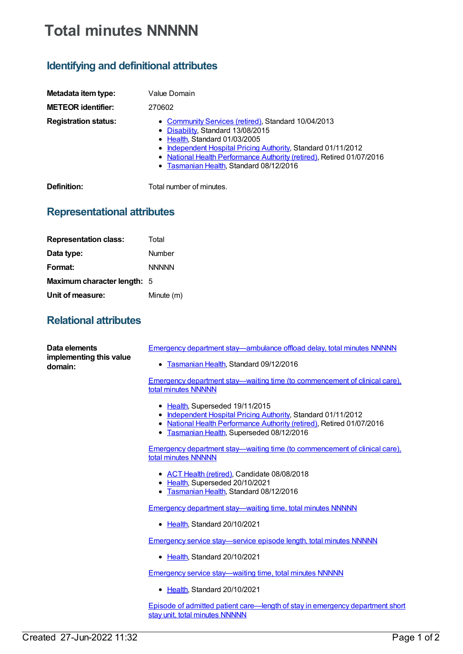## **Total minutes NNNNN**

## **Identifying and definitional attributes**

| Metadata item type:         | Value Domain                                                                                                                                                                                                                                                                                                   |
|-----------------------------|----------------------------------------------------------------------------------------------------------------------------------------------------------------------------------------------------------------------------------------------------------------------------------------------------------------|
| <b>METEOR identifier:</b>   | 270602                                                                                                                                                                                                                                                                                                         |
| <b>Registration status:</b> | • Community Services (retired), Standard 10/04/2013<br>• Disability, Standard 13/08/2015<br>• Health, Standard 01/03/2005<br>• Independent Hospital Pricing Authority, Standard 01/11/2012<br>• National Health Performance Authority (retired), Retired 01/07/2016<br>• Tasmanian Health, Standard 08/12/2016 |
| Definition:                 | Total number of minutes.                                                                                                                                                                                                                                                                                       |

## **Representational attributes**

| <b>Representation class:</b> | Total        |
|------------------------------|--------------|
| Data type:                   | Number       |
| Format:                      | <b>NNNNN</b> |
| Maximum character length: 5  |              |
| Unit of measure:             | Minute (m)   |

## **Relational attributes**

| Data elements<br>implementing this value<br>domain: | Emergency department stay—ambulance offload delay, total minutes NNNNN                                                                                                                                                 |
|-----------------------------------------------------|------------------------------------------------------------------------------------------------------------------------------------------------------------------------------------------------------------------------|
|                                                     | • Tasmanian Health, Standard 09/12/2016                                                                                                                                                                                |
|                                                     | Emergency department stay—waiting time (to commencement of clinical care).<br>total minutes NNNNN                                                                                                                      |
|                                                     | • Health, Superseded 19/11/2015<br>• Independent Hospital Pricing Authority, Standard 01/11/2012<br>• National Health Performance Authority (retired), Retired 01/07/2016<br>• Tasmanian Health, Superseded 08/12/2016 |
|                                                     | <u>Emergency department stay—waiting time (to commencement of clinical care),</u><br>total minutes NNNNN                                                                                                               |
|                                                     | • ACT Health (retired), Candidate 08/08/2018<br>• Health, Superseded 20/10/2021<br>Tasmanian Health, Standard 08/12/2016                                                                                               |
|                                                     | <b>Emergency department stay—waiting time, total minutes NNNNN</b>                                                                                                                                                     |
|                                                     | • Health, Standard 20/10/2021                                                                                                                                                                                          |
|                                                     | Emergency service stay—service episode length, total minutes NNNNN                                                                                                                                                     |
|                                                     | • Health, Standard 20/10/2021                                                                                                                                                                                          |
|                                                     | <b>Emergency service stay—waiting time, total minutes NNNNN</b>                                                                                                                                                        |
|                                                     | • Health, Standard 20/10/2021                                                                                                                                                                                          |
|                                                     | Episode of admitted patient care—length of stay in emergency department short<br>stay unit, total minutes NNNNN                                                                                                        |